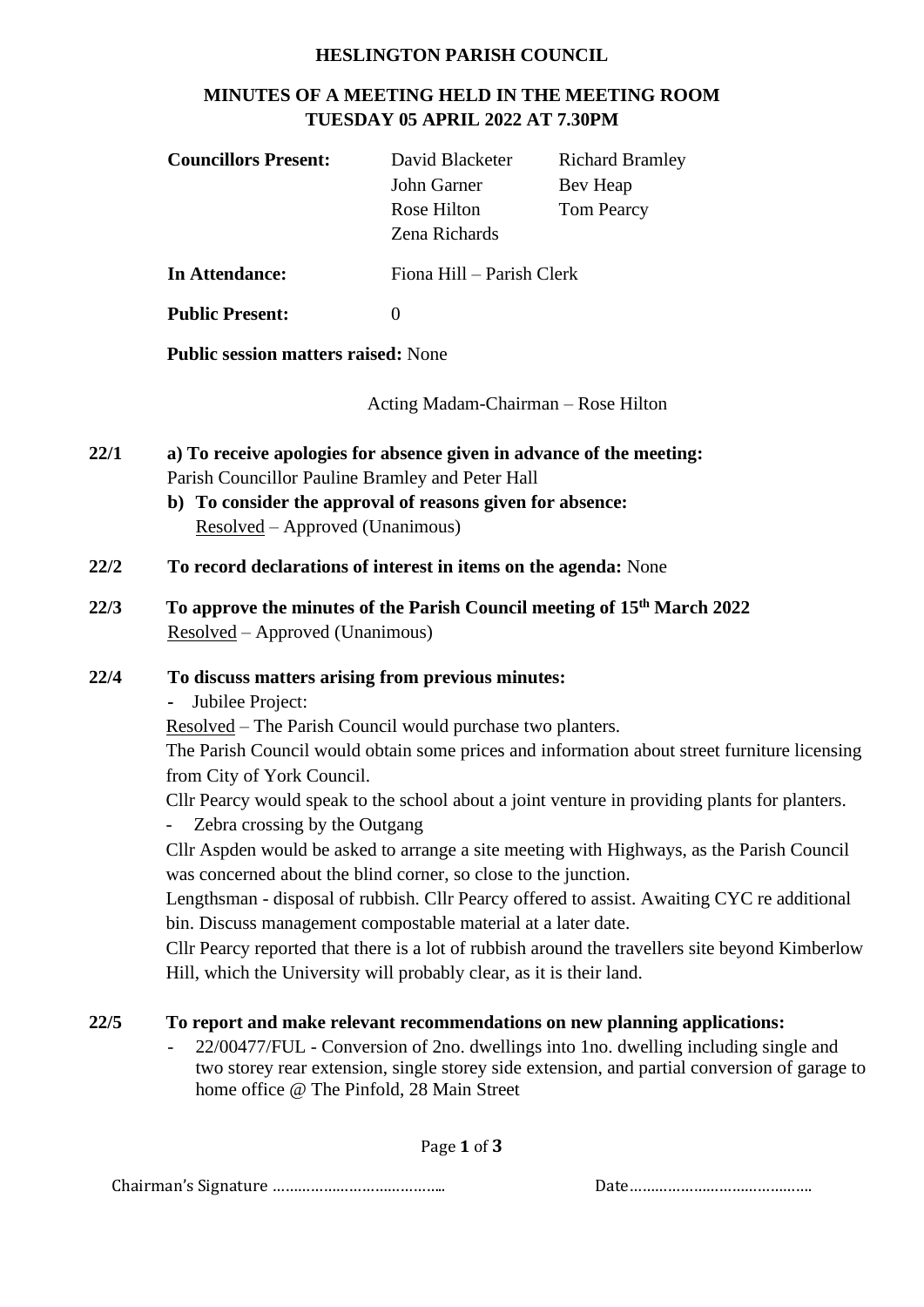#### **HESLINGTON PARISH COUNCIL**

# **MINUTES OF A MEETING HELD IN THE MEETING ROOM TUESDAY 05 APRIL 2022 AT 7.30PM**

| <b>Councillors Present:</b> | David Blacketer<br>John Garner | <b>Richard Bramley</b><br>Bev Heap |
|-----------------------------|--------------------------------|------------------------------------|
|                             | Rose Hilton<br>Zena Richards   | <b>Tom Pearcy</b>                  |
| In Attendance:              | Fiona Hill – Parish Clerk      |                                    |

**Public Present:** 0

**Public session matters raised:** None

Acting Madam-Chairman – Rose Hilton

- **22/1 a) To receive apologies for absence given in advance of the meeting:**  Parish Councillor Pauline Bramley and Peter Hall
	- **b) To consider the approval of reasons given for absence:**  Resolved – Approved (Unanimous)
- **22/2 To record declarations of interest in items on the agenda:** None
- **22/3 To approve the minutes of the Parish Council meeting of 15 th March 2022** Resolved – Approved (Unanimous)

#### **22/4 To discuss matters arising from previous minutes:**

**-** Jubilee Project:

Resolved – The Parish Council would purchase two planters.

The Parish Council would obtain some prices and information about street furniture licensing from City of York Council.

Cllr Pearcy would speak to the school about a joint venture in providing plants for planters.

Zebra crossing by the Outgang

Cllr Aspden would be asked to arrange a site meeting with Highways, as the Parish Council was concerned about the blind corner, so close to the junction.

Lengthsman - disposal of rubbish. Cllr Pearcy offered to assist. Awaiting CYC re additional bin. Discuss management compostable material at a later date.

Cllr Pearcy reported that there is a lot of rubbish around the travellers site beyond Kimberlow Hill, which the University will probably clear, as it is their land.

# **22/5 To report and make relevant recommendations on new planning applications:**

- 22/00477/FUL - Conversion of 2no. dwellings into 1no. dwelling including single and two storey rear extension, single storey side extension, and partial conversion of garage to home office @ The Pinfold, 28 Main Street

Page **1** of **3**

Chairman's Signature ………………………………….. Date…………………………………….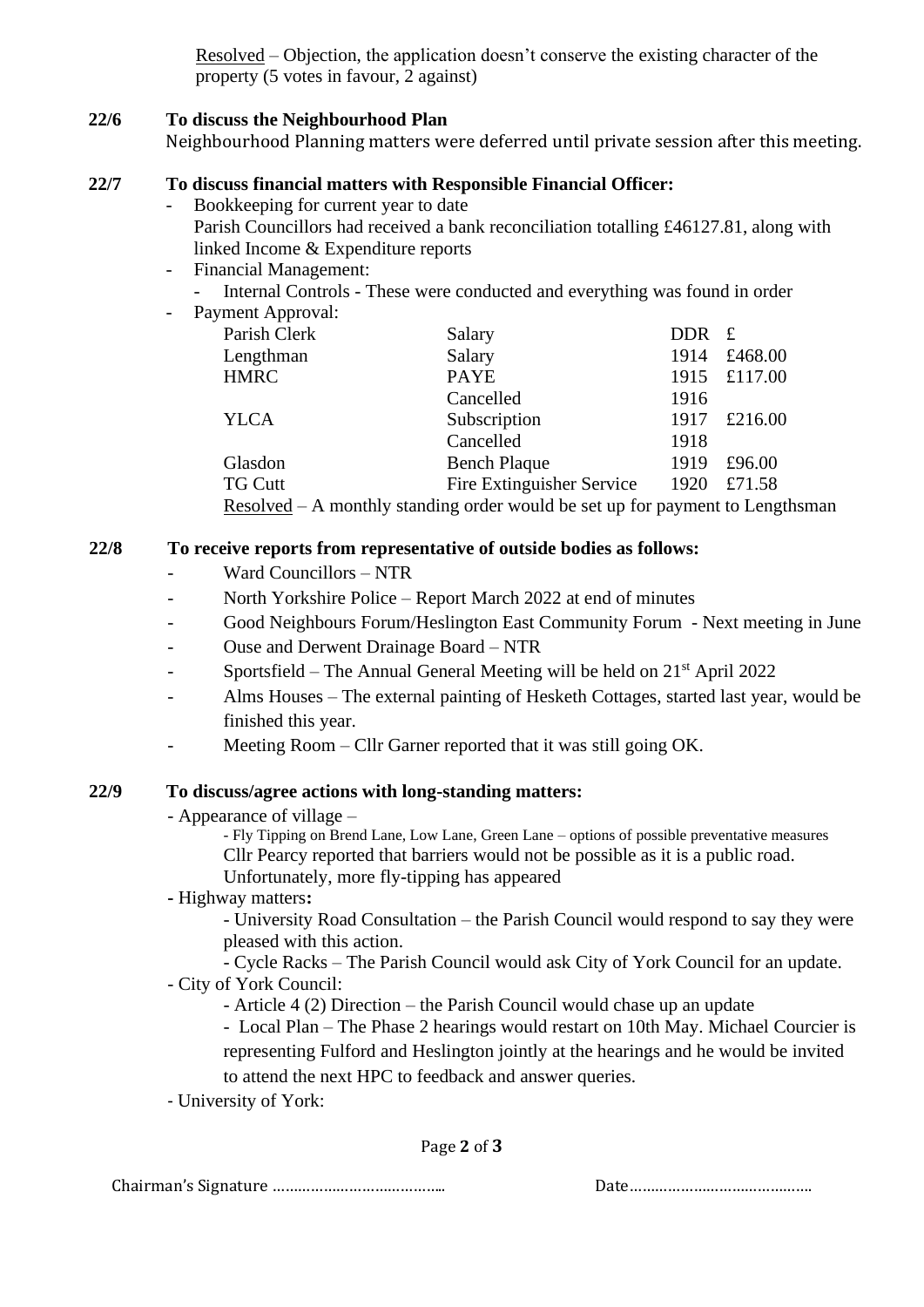Resolved – Objection, the application doesn't conserve the existing character of the property (5 votes in favour, 2 against)

## **22/6 To discuss the Neighbourhood Plan**

Neighbourhood Planning matters were deferred until private session after this meeting.

## **22/7 To discuss financial matters with Responsible Financial Officer:**

- Bookkeeping for current year to date Parish Councillors had received a bank reconciliation totalling £46127.81, along with linked Income & Expenditure reports
- Financial Management:
	- Internal Controls These were conducted and everything was found in order

| Payment Approval: |                                                                               |       |              |  |
|-------------------|-------------------------------------------------------------------------------|-------|--------------|--|
| Parish Clerk      | Salary                                                                        | DDR f |              |  |
| Lengthman         | Salary                                                                        | 1914  | £468.00      |  |
| <b>HMRC</b>       | <b>PAYE</b>                                                                   |       | 1915 £117.00 |  |
|                   | Cancelled                                                                     | 1916  |              |  |
| <b>YLCA</b>       | Subscription                                                                  | 1917  | £216.00      |  |
|                   | Cancelled                                                                     | 1918  |              |  |
| Glasdon           | <b>Bench Plaque</b>                                                           | 1919  | £96.00       |  |
| <b>TG Cutt</b>    | Fire Extinguisher Service                                                     | 1920  | £71.58       |  |
|                   | Resolved - A monthly standing order would be set up for payment to Lengthsman |       |              |  |

## **22/8 To receive reports from representative of outside bodies as follows:**

- Ward Councillors NTR
- North Yorkshire Police Report March 2022 at end of minutes
- Good Neighbours Forum/Heslington East Community Forum Next meeting in June
- Ouse and Derwent Drainage Board NTR
- Sportsfield The Annual General Meeting will be held on  $21<sup>st</sup>$  April 2022
- Alms Houses The external painting of Hesketh Cottages, started last year, would be finished this year.
- Meeting Room Cllr Garner reported that it was still going OK.

#### **22/9 To discuss/agree actions with long-standing matters:**

- Appearance of village
	- Fly Tipping on Brend Lane, Low Lane, Green Lane options of possible preventative measures Cllr Pearcy reported that barriers would not be possible as it is a public road. Unfortunately, more fly-tipping has appeared
- **-** Highway matters**:**

- University Road Consultation – the Parish Council would respond to say they were pleased with this action.

- Cycle Racks – The Parish Council would ask City of York Council for an update.

- City of York Council:
	- Article 4 (2) Direction the Parish Council would chase up an update

- Local Plan – The Phase 2 hearings would restart on 10th May. Michael Courcier is representing Fulford and Heslington jointly at the hearings and he would be invited to attend the next HPC to feedback and answer queries.

- University of York:

Page **2** of **3**